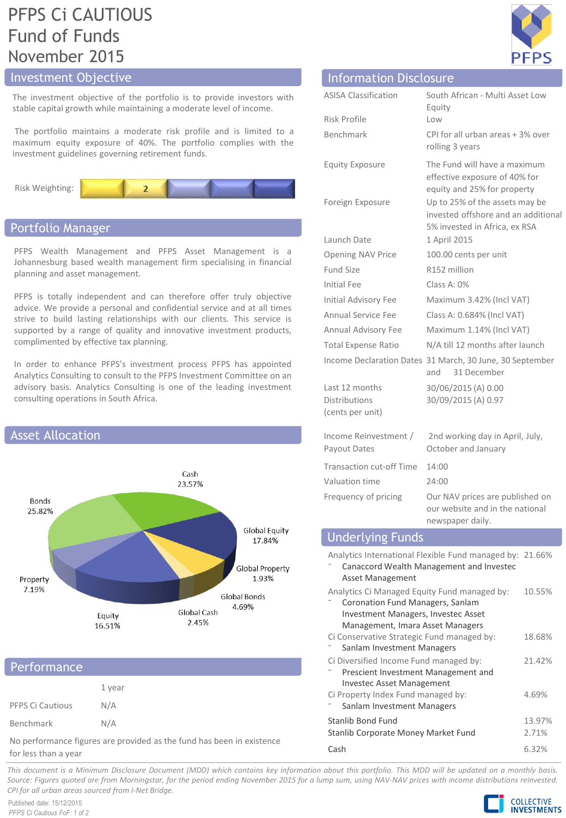# PFPS Ci CAUTIOUS Fund of Funds November 2015

## Investment Objective

The investment objective of the portfolio is to provide investors with stable capital growth while maintaining a moderate level of income.

The portfolio maintains a moderate risk profile and is limited to a maximum equity exposure of 40%. The portfolio complies with the investment guidelines governing retirement funds.



## Portfolio Manager

PFPS Wealth Management and PFPS Asset Management is a Johannesburg based wealth management firm specialising in financial planning and asset management.

PFPS is totally independent and can therefore offer truly objective advice. We provide a personal and confidential service and at all times strive to build lasting relationships with our clients. This service is supported by a range of quality and innovative investment products, complimented by effective tax planning.

In order to enhance PFPS's investment process PFPS has appointed Analytics Consulting to consult to the PFPS Investment Committee on an advisory basis. Analytics Consulting is one of the leading investment consulting operations in South Africa.



## Performance

|                  | 1 year |
|------------------|--------|
| PFPS Ci Cautious | N/A    |
| Benchmark        | N/A    |

No performance figures are provided as the fund has been in existence for less than a year

| щ<br>D | p |
|--------|---|

| <b>Information Disclosure</b>                                                                                                   |                                                                                                        |  |
|---------------------------------------------------------------------------------------------------------------------------------|--------------------------------------------------------------------------------------------------------|--|
| <b>ASISA Classification</b>                                                                                                     | South African - Multi Asset Low<br>Equity                                                              |  |
| Risk Profile                                                                                                                    | Low                                                                                                    |  |
| Benchmark                                                                                                                       | CPI for all urban areas + 3% over<br>rolling 3 years                                                   |  |
| <b>Equity Exposure</b>                                                                                                          | The Fund will have a maximum<br>effective exposure of 40% for<br>equity and 25% for property           |  |
| Foreign Exposure                                                                                                                | Up to 25% of the assets may be<br>invested offshore and an additional<br>5% invested in Africa, ex RSA |  |
| Launch Date                                                                                                                     | 1 April 2015                                                                                           |  |
| <b>Opening NAV Price</b>                                                                                                        | 100.00 cents per unit                                                                                  |  |
| <b>Fund Size</b>                                                                                                                | R152 million                                                                                           |  |
| <b>Initial Fee</b>                                                                                                              | Class A: 0%                                                                                            |  |
| <b>Initial Advisory Fee</b>                                                                                                     | Maximum 3.42% (Incl VAT)                                                                               |  |
| <b>Annual Service Fee</b>                                                                                                       | Class A: 0.684% (Incl VAT)                                                                             |  |
| Annual Advisory Fee                                                                                                             | Maximum 1.14% (Incl VAT)                                                                               |  |
| <b>Total Expense Ratio</b>                                                                                                      | N/A till 12 months after launch                                                                        |  |
|                                                                                                                                 | Income Declaration Dates 31 March, 30 June, 30 September<br>31 December<br>and                         |  |
| Last 12 months<br><b>Distributions</b><br>(cents per unit)                                                                      | 30/06/2015 (A) 0.00<br>30/09/2015 (A) 0.97                                                             |  |
| Income Reinvestment /<br>Payout Dates                                                                                           | 2nd working day in April, July,<br>October and January                                                 |  |
| <b>Transaction cut-off Time</b>                                                                                                 | 14:00                                                                                                  |  |
| Valuation time                                                                                                                  | 24:00                                                                                                  |  |
| Frequency of pricing                                                                                                            | Our NAV prices are published on<br>our website and in the national<br>newspaper daily.                 |  |
| <b>Underlying Funds</b>                                                                                                         |                                                                                                        |  |
| Analytics International Flexible Fund managed by: 21.66%<br>Canaccord Wealth Management and Investec<br><b>Asset Management</b> |                                                                                                        |  |
| Analytics Ci Managed Equity Fund managed by:<br>10.55%<br>Coronation Fund Managers, Sanlam                                      |                                                                                                        |  |

⁻ Coronation Fund Managers, Sanlam Investment Managers, Investec Asset Management, Imara Asset Managers Ci Conservative Strategic Fund managed by: Sanlam Investment Managers 18.68% Ci Diversified Income Fund managed by: ⁻ Prescient Investment Management and Investec Asset Management 21.42% Ci Property Index Fund managed by: Sanlam Investment Managers 4.69% Stanlib Bond Fund 13.97% Stanlib Corporate Money Market Fund 2.71%

Cash 6.32%

This document is a Minimum Disclosure Document (MDD) which contains key information about this portfolio. This MDD will be updated on a monthly basis. Source: Figures guoted are from Morningstar, for the period ending November 2015 for a lump sum, using NAV-NAV prices with income distributions reinvested. *CPI for all urban areas sourced from I-Net Bridge.*